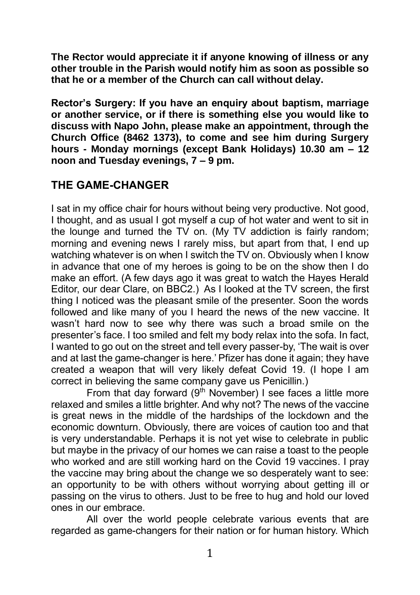**The Rector would appreciate it if anyone knowing of illness or any other trouble in the Parish would notify him as soon as possible so that he or a member of the Church can call without delay.**

**Rector's Surgery: If you have an enquiry about baptism, marriage or another service, or if there is something else you would like to discuss with Napo John, please make an appointment, through the Church Office (8462 1373), to come and see him during Surgery hours - Monday mornings (except Bank Holidays) 10.30 am – 12 noon and Tuesday evenings, 7 – 9 pm.**

# **THE GAME-CHANGER**

I sat in my office chair for hours without being very productive. Not good, I thought, and as usual I got myself a cup of hot water and went to sit in the lounge and turned the TV on. (My TV addiction is fairly random; morning and evening news I rarely miss, but apart from that, I end up watching whatever is on when I switch the TV on. Obviously when I know in advance that one of my heroes is going to be on the show then I do make an effort. (A few days ago it was great to watch the Hayes Herald Editor, our dear Clare, on BBC2.) As I looked at the TV screen, the first thing I noticed was the pleasant smile of the presenter. Soon the words followed and like many of you I heard the news of the new vaccine. It wasn't hard now to see why there was such a broad smile on the presenter's face. I too smiled and felt my body relax into the sofa. In fact, I wanted to go out on the street and tell every passer-by, 'The wait is over and at last the game-changer is here.' Pfizer has done it again; they have created a weapon that will very likely defeat Covid 19. (I hope I am correct in believing the same company gave us Penicillin.)

From that day forward (9<sup>th</sup> November) I see faces a little more relaxed and smiles a little brighter. And why not? The news of the vaccine is great news in the middle of the hardships of the lockdown and the economic downturn. Obviously, there are voices of caution too and that is very understandable. Perhaps it is not yet wise to celebrate in public but maybe in the privacy of our homes we can raise a toast to the people who worked and are still working hard on the Covid 19 vaccines. I pray the vaccine may bring about the change we so desperately want to see: an opportunity to be with others without worrying about getting ill or passing on the virus to others. Just to be free to hug and hold our loved ones in our embrace.

All over the world people celebrate various events that are regarded as game-changers for their nation or for human history. Which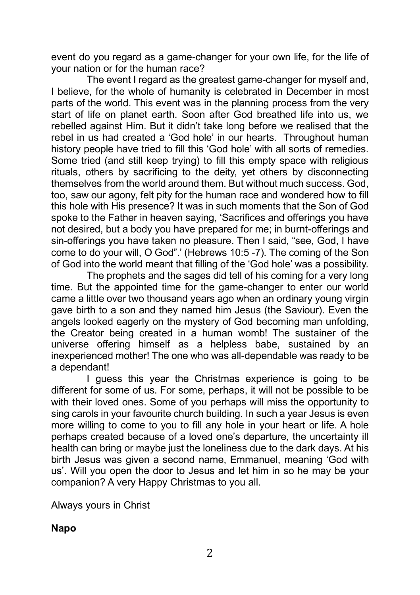event do you regard as a game-changer for your own life, for the life of your nation or for the human race?

The event I regard as the greatest game-changer for myself and, I believe, for the whole of humanity is celebrated in December in most parts of the world. This event was in the planning process from the very start of life on planet earth. Soon after God breathed life into us, we rebelled against Him. But it didn't take long before we realised that the rebel in us had created a 'God hole' in our hearts. Throughout human history people have tried to fill this 'God hole' with all sorts of remedies. Some tried (and still keep trying) to fill this empty space with religious rituals, others by sacrificing to the deity, yet others by disconnecting themselves from the world around them. But without much success. God, too, saw our agony, felt pity for the human race and wondered how to fill this hole with His presence? It was in such moments that the Son of God spoke to the Father in heaven saying, 'Sacrifices and offerings you have not desired, but a body you have prepared for me; in burnt-offerings and sin-offerings you have taken no pleasure. Then I said, "see, God, I have come to do your will, O God".' (Hebrews 10:5 -7). The coming of the Son of God into the world meant that filling of the 'God hole' was a possibility.

The prophets and the sages did tell of his coming for a very long time. But the appointed time for the game-changer to enter our world came a little over two thousand years ago when an ordinary young virgin gave birth to a son and they named him Jesus (the Saviour). Even the angels looked eagerly on the mystery of God becoming man unfolding, the Creator being created in a human womb! The sustainer of the universe offering himself as a helpless babe, sustained by an inexperienced mother! The one who was all-dependable was ready to be a dependant!

I guess this year the Christmas experience is going to be different for some of us. For some, perhaps, it will not be possible to be with their loved ones. Some of you perhaps will miss the opportunity to sing carols in your favourite church building. In such a year Jesus is even more willing to come to you to fill any hole in your heart or life. A hole perhaps created because of a loved one's departure, the uncertainty ill health can bring or maybe just the loneliness due to the dark days. At his birth Jesus was given a second name, Emmanuel, meaning 'God with us'. Will you open the door to Jesus and let him in so he may be your companion? A very Happy Christmas to you all.

Always yours in Christ

**Napo**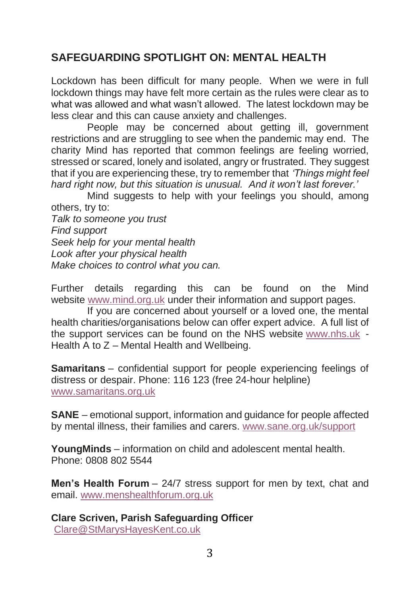# **SAFEGUARDING SPOTLIGHT ON: MENTAL HEALTH**

Lockdown has been difficult for many people. When we were in full lockdown things may have felt more certain as the rules were clear as to what was allowed and what wasn't allowed. The latest lockdown may be less clear and this can cause anxiety and challenges.

People may be concerned about getting ill, government restrictions and are struggling to see when the pandemic may end. The charity Mind has reported that common feelings are feeling worried, stressed or scared, lonely and isolated, angry or frustrated. They suggest that if you are experiencing these, try to remember that *'Things might feel hard right now, but this situation is unusual. And it won't last forever.'*

Mind suggests to help with your feelings you should, among others, try to: *Talk to someone you trust Find support Seek help for your mental health Look after your physical health Make choices to control what you can.*

Further details regarding this can be found on the Mind website [www.mind.org.uk](http://www.mind.org.uk/) under their information and support pages.

If you are concerned about yourself or a loved one, the mental health charities/organisations below can offer expert advice. A full list of the support services can be found on the NHS website [www.nhs.uk](http://www.nhs.uk/) - Health A to Z – Mental Health and Wellbeing.

**Samaritans** – confidential support for people experiencing feelings of distress or despair. Phone: 116 123 (free 24-hour helpline) [www.samaritans.org.uk](http://www.samaritans.org.uk/)

**SANE** – emotional support, information and guidance for people affected by mental illness, their families and carers. [www.sane.org.uk/support](http://www.sane.org.uk/support)

**YoungMinds** – information on child and adolescent mental health. Phone: 0808 802 5544

**Men's Health Forum** – 24/7 stress support for men by text, chat and email. [www.menshealthforum.org.uk](http://www.menshealthforum.org.uk/)

**Clare Scriven, Parish Safeguarding Officer** [Clare@StMarysHayesKent.co.uk](mailto:Clare@StMarysHayesKent.co.uk)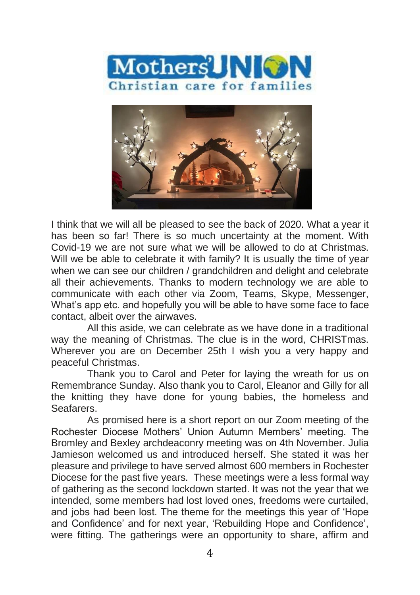



I think that we will all be pleased to see the back of 2020. What a year it has been so far! There is so much uncertainty at the moment. With Covid-19 we are not sure what we will be allowed to do at Christmas. Will we be able to celebrate it with family? It is usually the time of year when we can see our children / grandchildren and delight and celebrate all their achievements. Thanks to modern technology we are able to communicate with each other via Zoom, Teams, Skype, Messenger, What's app etc. and hopefully you will be able to have some face to face contact, albeit over the airwaves.

All this aside, we can celebrate as we have done in a traditional way the meaning of Christmas. The clue is in the word, CHRISTmas. Wherever you are on December 25th I wish you a very happy and peaceful Christmas.

Thank you to Carol and Peter for laying the wreath for us on Remembrance Sunday. Also thank you to Carol, Eleanor and Gilly for all the knitting they have done for young babies, the homeless and Seafarers.

As promised here is a short report on our Zoom meeting of the Rochester Diocese Mothers' Union Autumn Members' meeting. The Bromley and Bexley archdeaconry meeting was on 4th November. Julia Jamieson welcomed us and introduced herself. She stated it was her pleasure and privilege to have served almost 600 members in Rochester Diocese for the past five years. These meetings were a less formal way of gathering as the second lockdown started. It was not the year that we intended, some members had lost loved ones, freedoms were curtailed, and jobs had been lost. The theme for the meetings this year of 'Hope and Confidence' and for next year, 'Rebuilding Hope and Confidence', were fitting. The gatherings were an opportunity to share, affirm and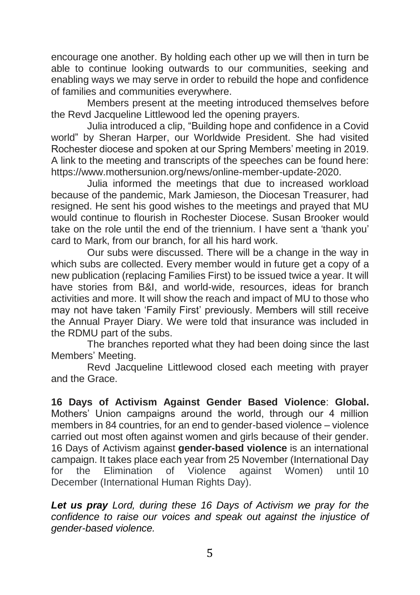encourage one another. By holding each other up we will then in turn be able to continue looking outwards to our communities, seeking and enabling ways we may serve in order to rebuild the hope and confidence of families and communities everywhere.

Members present at the meeting introduced themselves before the Revd Jacqueline Littlewood led the opening prayers.

Julia introduced a clip, "Building hope and confidence in a Covid world" by Sheran Harper, our Worldwide President. She had visited Rochester diocese and spoken at our Spring Members' meeting in 2019. A link to the meeting and transcripts of the speeches can be found here: [https://www.mothersunion.org/news/online-member-update-2020.](https://www.mothersunion.org/news/online-member-update-2020)

Julia informed the meetings that due to increased workload because of the pandemic, Mark Jamieson, the Diocesan Treasurer, had resigned. He sent his good wishes to the meetings and prayed that MU would continue to flourish in Rochester Diocese. Susan Brooker would take on the role until the end of the triennium. I have sent a 'thank you' card to Mark, from our branch, for all his hard work.

Our subs were discussed. There will be a change in the way in which subs are collected. Every member would in future get a copy of a new publication (replacing Families First) to be issued twice a year. It will have stories from B&I, and world-wide, resources, ideas for branch activities and more. It will show the reach and impact of MU to those who may not have taken 'Family First' previously. Members will still receive the Annual Prayer Diary. We were told that insurance was included in the RDMU part of the subs.

The branches reported what they had been doing since the last Members' Meeting.

Revd Jacqueline Littlewood closed each meeting with prayer and the Grace.

**16 Days of Activism Against Gender Based Violence**: **Global.** Mothers' Union campaigns around the world, through our 4 million members in 84 countries, for an end to gender-based violence – violence carried out most often against women and girls because of their gender. 16 Days of Activism against **gender-based violence** is an international campaign. It takes place each year from 25 November (International Day for the Elimination of Violence against Women) until 10 December (International Human Rights Day).

*Let us pray Lord, during these 16 Days of Activism we pray for the confidence to raise our voices and speak out against the injustice of gender-based violence.*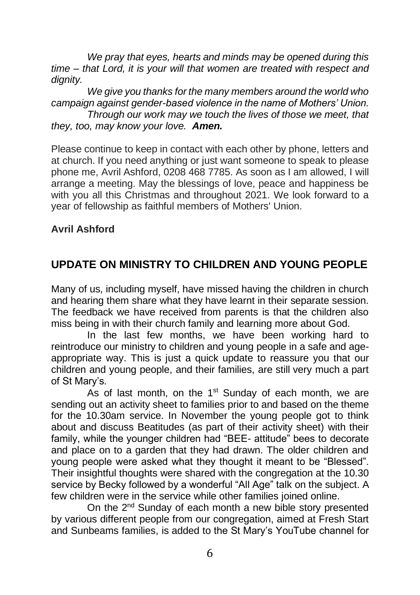*We pray that eyes, hearts and minds may be opened during this time – that Lord, it is your will that women are treated with respect and dignity.* 

*We give you thanks for the many members around the world who campaign against gender-based violence in the name of Mothers' Union. Through our work may we touch the lives of those we meet, that they, too, may know your love. Amen.* 

Please continue to keep in contact with each other by phone, letters and at church. If you need anything or just want someone to speak to please phone me, Avril Ashford, 0208 468 7785. As soon as I am allowed, I will arrange a meeting. May the blessings of love, peace and happiness be with you all this Christmas and throughout 2021. We look forward to a year of fellowship as faithful members of Mothers' Union.

#### **Avril Ashford**

# **UPDATE ON MINISTRY TO CHILDREN AND YOUNG PEOPLE**

Many of us, including myself, have missed having the children in church and hearing them share what they have learnt in their separate session. The feedback we have received from parents is that the children also miss being in with their church family and learning more about God.

In the last few months, we have been working hard to reintroduce our ministry to children and young people in a safe and ageappropriate way. This is just a quick update to reassure you that our children and young people, and their families, are still very much a part of St Mary's.

As of last month, on the  $1<sup>st</sup>$  Sunday of each month, we are sending out an activity sheet to families prior to and based on the theme for the 10.30am service. In November the young people got to think about and discuss Beatitudes (as part of their activity sheet) with their family, while the younger children had "BEE- attitude" bees to decorate and place on to a garden that they had drawn. The older children and young people were asked what they thought it meant to be "Blessed". Their insightful thoughts were shared with the congregation at the 10.30 service by Becky followed by a wonderful "All Age" talk on the subject. A few children were in the service while other families joined online.

On the 2<sup>nd</sup> Sunday of each month a new bible story presented by various different people from our congregation, aimed at Fresh Start and Sunbeams families, is added to the St Mary's YouTube channel for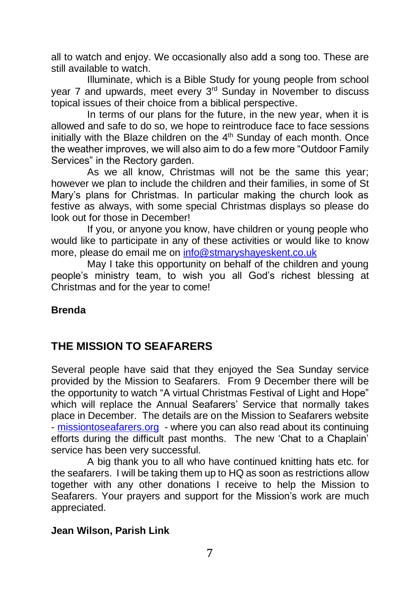all to watch and enjoy. We occasionally also add a song too. These are still available to watch.

Illuminate, which is a Bible Study for young people from school year 7 and upwards, meet every 3<sup>rd</sup> Sunday in November to discuss topical issues of their choice from a biblical perspective.

In terms of our plans for the future, in the new year, when it is allowed and safe to do so, we hope to reintroduce face to face sessions initially with the Blaze children on the 4<sup>th</sup> Sunday of each month. Once the weather improves, we will also aim to do a few more "Outdoor Family Services" in the Rectory garden.

As we all know, Christmas will not be the same this year; however we plan to include the children and their families, in some of St Mary's plans for Christmas. In particular making the church look as festive as always, with some special Christmas displays so please do look out for those in December!

If you, or anyone you know, have children or young people who would like to participate in any of these activities or would like to know more, please do email me on [info@stmaryshayeskent.co.uk](mailto:info@stmaryshayeskent.co.uk)

May I take this opportunity on behalf of the children and young people's ministry team, to wish you all God's richest blessing at Christmas and for the year to come!

#### **Brenda**

# **THE MISSION TO SEAFARERS**

Several people have said that they enjoyed the Sea Sunday service provided by the Mission to Seafarers. From 9 December there will be the opportunity to watch "A virtual Christmas Festival of Light and Hope" which will replace the Annual Seafarers' Service that normally takes place in December. The details are on the Mission to Seafarers website - [missiontoseafarers.org](http://missiontoseafarers.org/) - where you can also read about its continuing efforts during the difficult past months. The new 'Chat to a Chaplain' service has been very successful.

A big thank you to all who have continued knitting hats etc. for the seafarers. I will be taking them up to HQ as soon as restrictions allow together with any other donations I receive to help the Mission to Seafarers. Your prayers and support for the Mission's work are much appreciated.

#### **Jean Wilson, Parish Link**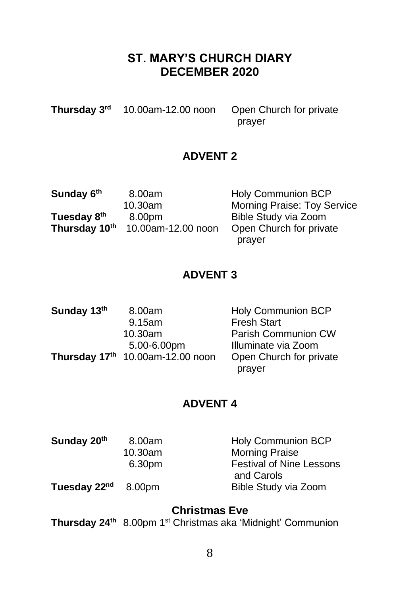# **ST. MARY'S CHURCH DIARY DECEMBER 2020**

**Thursday 3rd** 10.00am-12.00 noon Open Church for private prayer

## **ADVENT 2**

| Sunday 6th              | 8.00am             | <b>Holy Communion BCP</b>          |
|-------------------------|--------------------|------------------------------------|
|                         | 10.30am            | <b>Morning Praise: Toy Service</b> |
| Tuesday 8 <sup>th</sup> | 8.00pm             | Bible Study via Zoom               |
| Thursday 10th           | 10.00am-12.00 noon | Open Church for private            |
|                         |                    | prayer                             |

## **ADVENT 3**

| Sunday 13th | 8.00am                           | <b>Holy Communion BCP</b> |
|-------------|----------------------------------|---------------------------|
|             | 9.15am                           | <b>Fresh Start</b>        |
|             | $10.30$ am                       | Parish Communion CW       |
|             | 5.00-6.00pm                      | Illuminate via Zoom       |
|             | Thursday 17th 10.00am-12.00 noon | Open Church for private   |
|             |                                  | prayer                    |

#### **ADVENT 4**

| Sunday 20th              | 8.00am  | <b>Holy Communion BCP</b>                     |
|--------------------------|---------|-----------------------------------------------|
|                          | 10.30am | <b>Morning Praise</b>                         |
|                          | 6.30pm  | <b>Festival of Nine Lessons</b><br>and Carols |
| Tuesday 22 <sup>nd</sup> | 8.00pm  | Bible Study via Zoom                          |

# **Christmas Eve**

**Thursday 24th** 8.00pm 1 st Christmas aka 'Midnight' Communion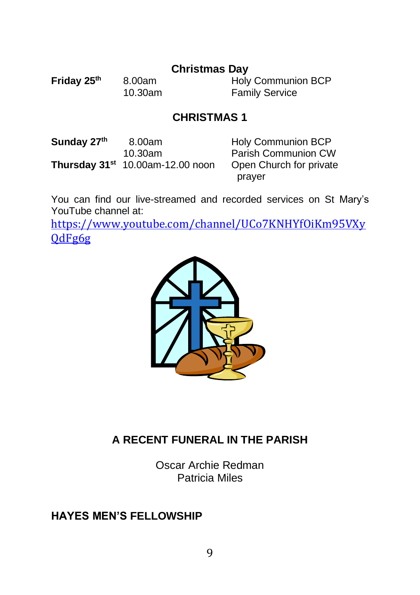### **Christmas Day**

**Friday 25<sup>th</sup> 8.00am** Holy Communion BCP<br>10.30am Family Service **Family Service** 

## **CHRISTMAS 1**

**Sunday 27th Thursday 31<sup>st</sup> 10.00am-12.00 noon** 

8.00am Holy Communion BCP Parish Communion CW<br>Open Church for private prayer

You can find our live-streamed and recorded services on St Mary's YouTube channel at:

[https://www.youtube.com/channel/UCo7KNHYfOiKm95VXy](https://www.youtube.com/channel/UCo7KNHYfOiKm95VXyQdFg6g) [QdFg6g](https://www.youtube.com/channel/UCo7KNHYfOiKm95VXyQdFg6g)



# **A RECENT FUNERAL IN THE PARISH**

Oscar Archie Redman Patricia Miles

# **HAYES MEN'S FELLOWSHIP**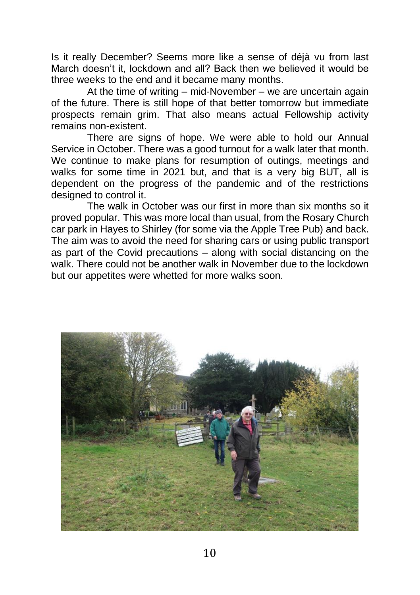Is it really December? Seems more like a sense of déjà vu from last March doesn't it, lockdown and all? Back then we believed it would be three weeks to the end and it became many months.

At the time of writing – mid-November – we are uncertain again of the future. There is still hope of that better tomorrow but immediate prospects remain grim. That also means actual Fellowship activity remains non-existent.

There are signs of hope. We were able to hold our Annual Service in October. There was a good turnout for a walk later that month. We continue to make plans for resumption of outings, meetings and walks for some time in 2021 but, and that is a very big BUT, all is dependent on the progress of the pandemic and of the restrictions designed to control it.

The walk in October was our first in more than six months so it proved popular. This was more local than usual, from the Rosary Church car park in Hayes to Shirley (for some via the Apple Tree Pub) and back. The aim was to avoid the need for sharing cars or using public transport as part of the Covid precautions – along with social distancing on the walk. There could not be another walk in November due to the lockdown but our appetites were whetted for more walks soon.

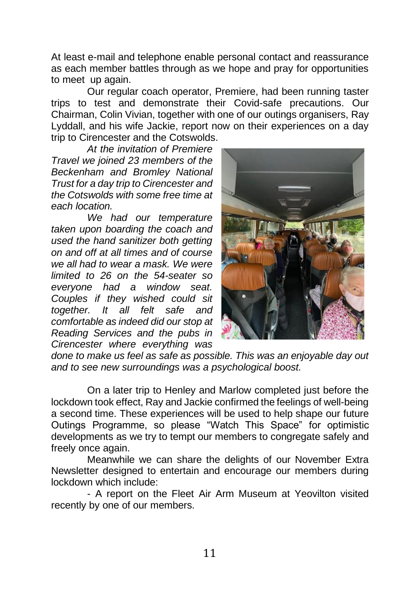At least e-mail and telephone enable personal contact and reassurance as each member battles through as we hope and pray for opportunities to meet up again.

Our regular coach operator, Premiere, had been running taster trips to test and demonstrate their Covid-safe precautions. Our Chairman, Colin Vivian, together with one of our outings organisers, Ray Lyddall, and his wife Jackie, report now on their experiences on a day trip to Cirencester and the Cotswolds.

*At the invitation of Premiere Travel we joined 23 members of the Beckenham and Bromley National Trust for a day trip to Cirencester and the Cotswolds with some free time at each location.* 

*We had our temperature taken upon boarding the coach and used the hand sanitizer both getting on and off at all times and of course we all had to wear a mask. We were limited to 26 on the 54-seater so everyone had a window seat. Couples if they wished could sit together. It all felt safe and comfortable as indeed did our stop at Reading Services and the pubs in Cirencester where everything was* 



*done to make us feel as safe as possible. This was an enjoyable day out and to see new surroundings was a psychological boost.*

On a later trip to Henley and Marlow completed just before the lockdown took effect, Ray and Jackie confirmed the feelings of well-being a second time. These experiences will be used to help shape our future Outings Programme, so please "Watch This Space" for optimistic developments as we try to tempt our members to congregate safely and freely once again.

Meanwhile we can share the delights of our November Extra Newsletter designed to entertain and encourage our members during lockdown which include:

- A report on the Fleet Air Arm Museum at Yeovilton visited recently by one of our members.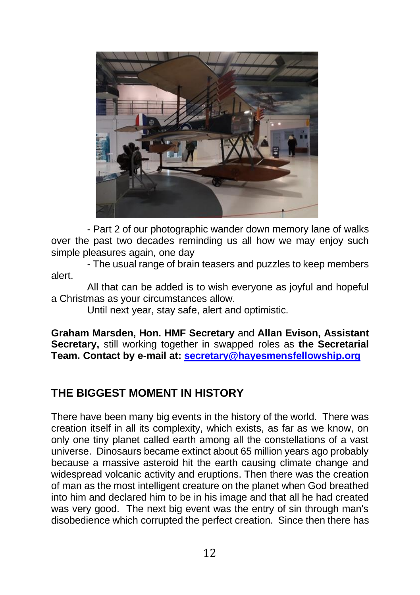

- Part 2 of our photographic wander down memory lane of walks over the past two decades reminding us all how we may enjoy such simple pleasures again, one day

- The usual range of brain teasers and puzzles to keep members alert.

All that can be added is to wish everyone as joyful and hopeful a Christmas as your circumstances allow.

Until next year, stay safe, alert and optimistic.

**Graham Marsden, Hon. HMF Secretary** and **Allan Evison, Assistant Secretary,** still working together in swapped roles as **the Secretarial Team. Contact by e-mail at: [secretary@hayesmensfellowship.org](mailto:secretary@hayesmensfellowship.org)**

# **THE BIGGEST MOMENT IN HISTORY**

There have been many big events in the history of the world. There was creation itself in all its complexity, which exists, as far as we know, on only one tiny planet called earth among all the constellations of a vast universe. Dinosaurs became extinct about 65 million years ago probably because a massive asteroid hit the earth causing climate change and widespread volcanic activity and eruptions. Then there was the creation of man as the most intelligent creature on the planet when God breathed into him and declared him to be in his image and that all he had created was very good. The next big event was the entry of sin through man's disobedience which corrupted the perfect creation. Since then there has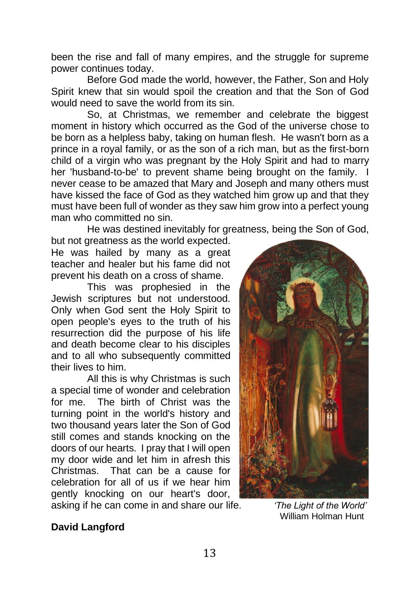been the rise and fall of many empires, and the struggle for supreme power continues today.

Before God made the world, however, the Father, Son and Holy Spirit knew that sin would spoil the creation and that the Son of God would need to save the world from its sin.

So, at Christmas, we remember and celebrate the biggest moment in history which occurred as the God of the universe chose to be born as a helpless baby, taking on human flesh. He wasn't born as a prince in a royal family, or as the son of a rich man, but as the first-born child of a virgin who was pregnant by the Holy Spirit and had to marry her 'husband-to-be' to prevent shame being brought on the family. I never cease to be amazed that Mary and Joseph and many others must have kissed the face of God as they watched him grow up and that they must have been full of wonder as they saw him grow into a perfect young man who committed no sin.

He was destined inevitably for greatness, being the Son of God,

but not greatness as the world expected. He was hailed by many as a great teacher and healer but his fame did not prevent his death on a cross of shame.

This was prophesied in the Jewish scriptures but not understood. Only when God sent the Holy Spirit to open people's eyes to the truth of his resurrection did the purpose of his life and death become clear to his disciples and to all who subsequently committed their lives to him.

All this is why Christmas is such a special time of wonder and celebration for me. The birth of Christ was the turning point in the world's history and two thousand years later the Son of God still comes and stands knocking on the doors of our hearts. I pray that I will open my door wide and let him in afresh this Christmas. That can be a cause for celebration for all of us if we hear him gently knocking on our heart's door,



asking if he can come in and share our life. *'The Light of the World'*

William Holman Hunt

#### **David Langford**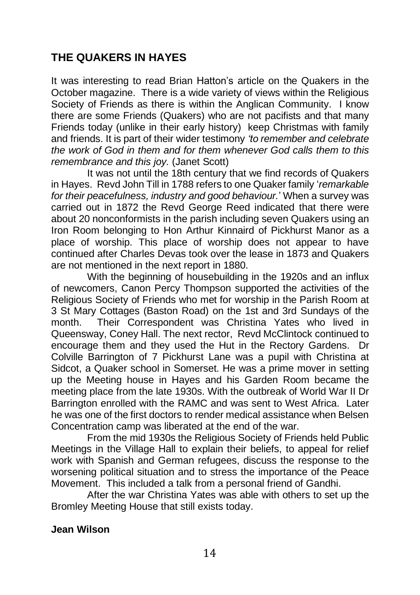# **THE QUAKERS IN HAYES**

It was interesting to read Brian Hatton's article on the Quakers in the October magazine. There is a wide variety of views within the Religious Society of Friends as there is within the Anglican Community. I know there are some Friends (Quakers) who are not pacifists and that many Friends today (unlike in their early history) keep Christmas with family and friends. It is part of their wider testimony *'to remember and celebrate the work of God in them and for them whenever God calls them to this remembrance and this joy.* (Janet Scott)

It was not until the 18th century that we find records of Quakers in Hayes. Revd John Till in 1788 refers to one Quaker family '*remarkable for their peacefulness, industry and good behaviour.*' When a survey was carried out in 1872 the Revd George Reed indicated that there were about 20 nonconformists in the parish including seven Quakers using an Iron Room belonging to Hon Arthur Kinnaird of Pickhurst Manor as a place of worship. This place of worship does not appear to have continued after Charles Devas took over the lease in 1873 and Quakers are not mentioned in the next report in 1880.

With the beginning of housebuilding in the 1920s and an influx of newcomers, Canon Percy Thompson supported the activities of the Religious Society of Friends who met for worship in the Parish Room at 3 St Mary Cottages (Baston Road) on the 1st and 3rd Sundays of the month. Their Correspondent was Christina Yates who lived in Queensway, Coney Hall. The next rector, Revd McClintock continued to encourage them and they used the Hut in the Rectory Gardens. Dr Colville Barrington of 7 Pickhurst Lane was a pupil with Christina at Sidcot, a Quaker school in Somerset. He was a prime mover in setting up the Meeting house in Hayes and his Garden Room became the meeting place from the late 1930s. With the outbreak of World War II Dr Barrington enrolled with the RAMC and was sent to West Africa. Later he was one of the first doctors to render medical assistance when Belsen Concentration camp was liberated at the end of the war.

From the mid 1930s the Religious Society of Friends held Public Meetings in the Village Hall to explain their beliefs, to appeal for relief work with Spanish and German refugees, discuss the response to the worsening political situation and to stress the importance of the Peace Movement. This included a talk from a personal friend of Gandhi.

After the war Christina Yates was able with others to set up the Bromley Meeting House that still exists today.

#### **Jean Wilson**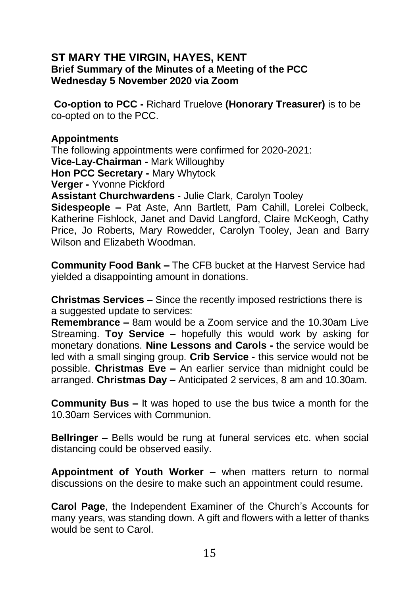#### **ST MARY THE VIRGIN, HAYES, KENT Brief Summary of the Minutes of a Meeting of the PCC Wednesday 5 November 2020 via Zoom**

**Co-option to PCC -** Richard Truelove **(Honorary Treasurer)** is to be co-opted on to the PCC.

#### **Appointments**

The following appointments were confirmed for 2020-2021: **Vice-Lay-Chairman -** Mark Willoughby **Hon PCC Secretary -** Mary Whytock **Verger -** Yvonne Pickford **Assistant Churchwardens** - Julie Clark, Carolyn Tooley

**Sidespeople –** Pat Aste, Ann Bartlett, Pam Cahill, Lorelei Colbeck, Katherine Fishlock, Janet and David Langford, Claire McKeogh, Cathy Price, Jo Roberts, Mary Rowedder, Carolyn Tooley, Jean and Barry Wilson and Elizabeth Woodman.

**Community Food Bank –** The CFB bucket at the Harvest Service had yielded a disappointing amount in donations.

**Christmas Services –** Since the recently imposed restrictions there is a suggested update to services:

**Remembrance –** 8am would be a Zoom service and the 10.30am Live Streaming. **Toy Service –** hopefully this would work by asking for monetary donations. **Nine Lessons and Carols -** the service would be led with a small singing group. **Crib Service -** this service would not be possible. **Christmas Eve –** An earlier service than midnight could be arranged. **Christmas Day –** Anticipated 2 services, 8 am and 10.30am.

**Community Bus –** It was hoped to use the bus twice a month for the 10.30am Services with Communion.

**Bellringer –** Bells would be rung at funeral services etc. when social distancing could be observed easily.

**Appointment of Youth Worker –** when matters return to normal discussions on the desire to make such an appointment could resume.

**Carol Page**, the Independent Examiner of the Church's Accounts for many years, was standing down. A gift and flowers with a letter of thanks would be sent to Carol.